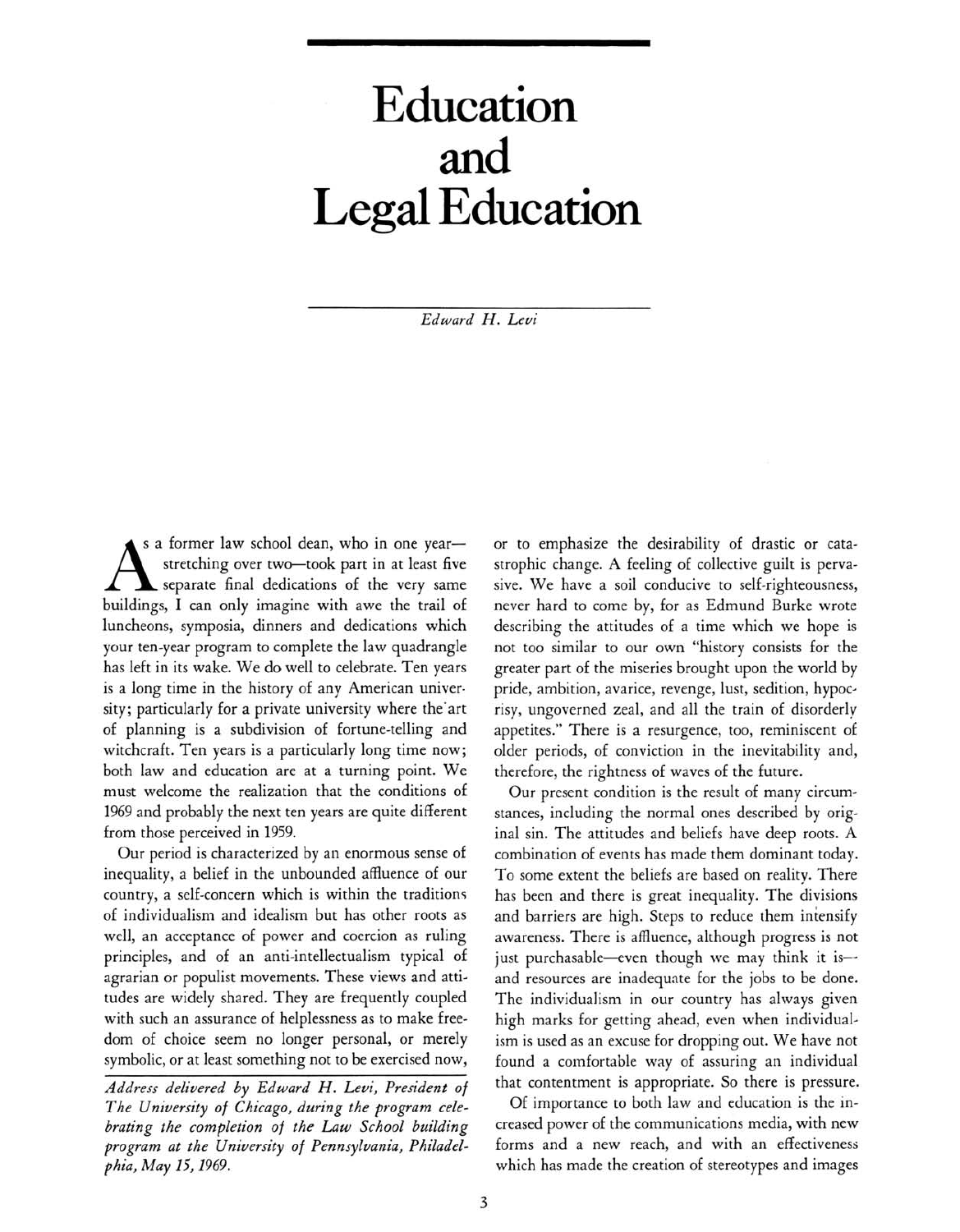## Education and Legal Education

Edward H. Levi

 $A$ s a former law school dean, who in one yearstretching over two-took part in at least five separate final dedications of the very same buildings, I can only imagine with awe the trail of luncheons, symposia, dinners and dedications which your ten-year program to complete the law quadrangle has left in its wake. We do well to celebrate. Ten years is a long time in the history of any American university; particularly for a private university where the art of planning is <sup>a</sup> subdivision of fortune-telling and witchcraft. Ten years is <sup>a</sup> particularly long time now; both law and education are at a turning point. We must welcome the realization that the conditions of <sup>1969</sup> and probably the next ten years are quite different from those perceived in 1959.

Our period is characterized by an enormous sense of inequality, <sup>a</sup> belief in the unbounded affluence of our country, <sup>a</sup> self-concern which is within the traditions of individualism and idealism but has other roots as well, an acceptance of power and coercion as ruling principles, and of an anti-intellectualism typical of agrarian or populist movements. These views and attitudes are widely shared. They are frequently coupled with such an assurance of helplessness as to make freedom of choice seem no longer personal, or merely symbolic, or at least something not to be exercised now,

Address delivered by Edward H. Levi, President of The University of Chicago, during the program celebrating the completion of the Law School building program at the University of Pennsylvania, Philadelphia, May 15,1969.

or to emphasize the desirability of drastic or catastrophic change. A feeling of collective guilt is pervasive. We have <sup>a</sup> soil conducive to self-righteousness, never hard to come by, for as Edmund Burke wrote describing the attitudes of <sup>a</sup> time which we hope is not too similar to our own "history consists for the greater part of the miseries brought upon the world by pride, ambition, avarice, revenge, lust, sedition, hypocrisy, ungoverned zeal, and all the train of disorderly appetites." There is <sup>a</sup> resurgence, too, reminiscent of older periods, of conviction in the inevitability and, therefore, the rightness of waves of the future.

Our present condition is the result of many circumstances, including the normal ones described by original sin. The attitudes and beliefs have deep roots. A combination of events has made them dominant today. To some extent the beliefs are based on reality. There has been and there is great inequality. The divisions and barriers are high. Steps to reduce them intensify awareness. There is affluence, although progress is not just purchasable—even though we may think it is and resources are inadequate for the jobs to be done. The individualism in our country has always given high marks for getting ahead, even when individualism is used as an excuse for dropping out. We have not found <sup>a</sup> comfortable way of assuring an individual that contentment is appropriate. So there is pressure.

Of importance to both law and education is the increased power of the communications media, with new forms and <sup>a</sup> new reach, and with an effectiveness which has made the creation of stereotypes and images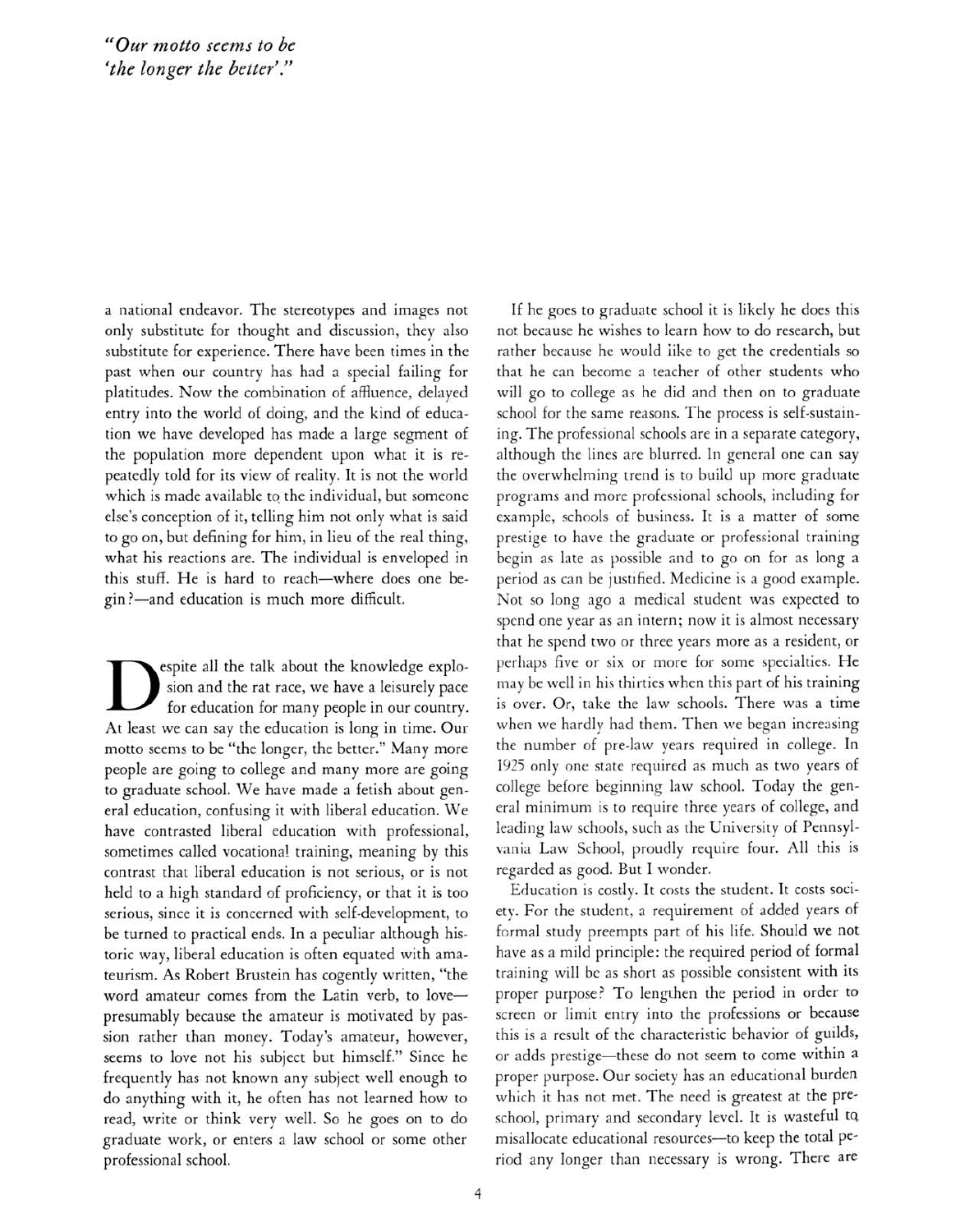<sup>a</sup> national endeavor. The stereotypes and images not only substitute for thought and discussion, they also substitute for experience. There have been times in the past when our country has had <sup>a</sup> special failing for platitudes. Now the combination of affiuence, delayed entry into the world of doing, and the kind of education we have developed has made <sup>a</sup> large segment of the population more dependent upon what it is repeatedly told for its view of reality. It is not the world which is made available to the individual, but someone else's conception of it, telling him not only what is said to go on, but defining for him, in lieu of the real thing, what his reactions are. The individual is enveloped in this stuff. He is hard to reach-where does one begin?—and education is much more difficult.

for education for many people in our country. espite all the talk about the knowledge explosion and the rat race, we have <sup>a</sup> leisurely pace At least we can say the education is long in time. Our motto seems to be "the longer, the better." Many more people are going to college and many more are going to graduate school. We have made <sup>a</sup> fetish about general education, confusing it with liberal education. We have contrasted liberal education with professional, sometimes called vocational training, meaning by this contrast that liberal education is not serious, or is not held to <sup>a</sup> high standard of proficiency, or that it is too serious, since it is concerned with self-development, to be turned to practical ends. In <sup>a</sup> peculiar although historic way, liberal education is often equated with amateurism. As Robert Brustein has cogently written, "the word amateur comes from the Latin verb, to lovepresumably because the amateur is motivated by passion rather than money. Today's amateur, however, seems to love not his subject but himself." Since he frequently has not known any subject well enough to do anything with it, he often has not learned how to read, write or think very well. So he goes on to do graduate work, or enters <sup>a</sup> law school or some other professional school.

If he goes to graduate school it is likely he does this not because he wishes to learn how to do research, but rather because he would like to get the credentials so that he can become a teacher of other students who will go to college as he did and then on to graduate school for the same reasons. The process is self-sustaining. The professional schools are in <sup>a</sup> separate category, although the lines are blurred. In general one can say the overwhelming trend is to build up more graduate programs and more professional schools, including for example, schools of business. It is <sup>a</sup> matter of some prestige to have the graduate or professional training begin as late as possible and to go on for as long <sup>a</sup> period as can be justified. Medicine is <sup>a</sup> good example. Not so long ago <sup>a</sup> medical student was expected to spend one year as an intern; now it is almost necessary that he spend two or three years more as <sup>a</sup> resident, or perhaps five or six or more for some specialties. He may be well in his thirties when this part of his training is over. Or, take the law schools. There was <sup>a</sup> time when we hardly had them. Then we began increasing the number of pre-law years required in college. In <sup>1925</sup> only one state required as much as two years of college before beginning law school. Today the general minimum is to require three years of college, and leading law schools, such as the University of Pennsylvania Law School, proudly require four. All this is regarded as good. But I wonder.

Education is costly. It costs the student. It costs society. For the student, <sup>a</sup> requirement of added years of formal study preempts part of his life. Should we not have as <sup>a</sup> mild principle: the required period of formal training will be as short as possible consistent with its proper purpose? To lengthen the period in order to screen or limit entry into the professions or because this is <sup>a</sup> result of the characteristic behavior of guilds, or adds prestige-these do not seem to come within <sup>a</sup> proper purpose. Our society has an educational burden which it has not met. The need is greatest at the preschool, primary and secondary level. It is wasteful tq misallocate educational resources-to keep the total period any longer than necessary is wrong. There are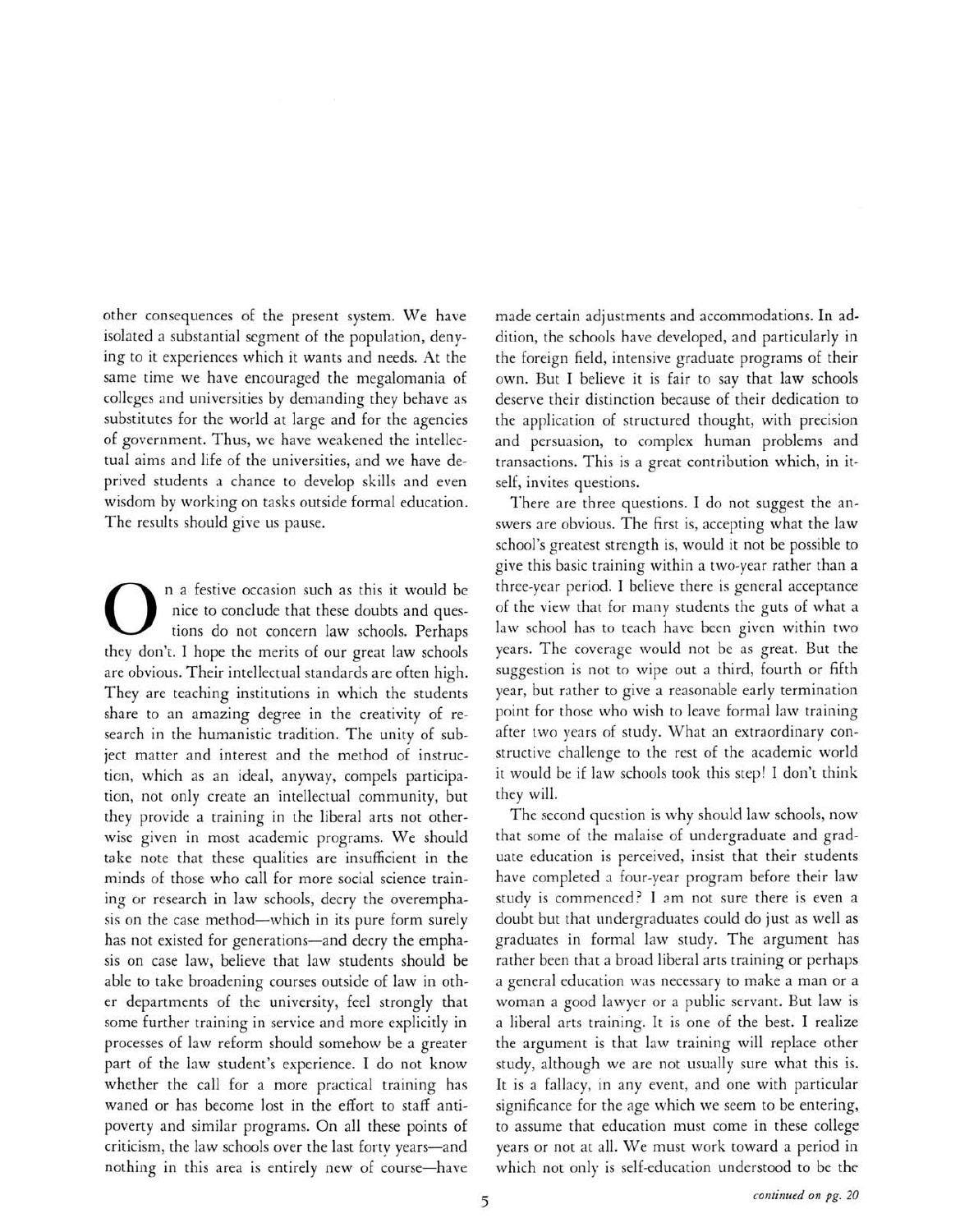other consequences of the present system. We have isolated <sup>a</sup> substantial segment of the population, denying to it experiences which it wants and needs. At the same time we have encouraged the megalomania of colleges and universities by demanding they behave as substitutes for the world at large and for the agencies of government. Thus, we have weakened the intellectual aims and life of the universities, and we have deprived students <sup>a</sup> chance to develop skills and even wisdom by working on tasks outside formal education. The results should give us pause.

 $\overline{O}$ <sup>a</sup> festive occasion such as this it would be nice to conclude that these doubts and questions do not concern law schools. Perhaps they don't. I hope the merits of our great law schools are obvious. Their intellectual standards are often high. They are teaching institutions in which the students share to an amazing degree in the creativity of research in the humanistic tradition. The unity of subject matter and interest and the method of instruction, which as an ideal, anyway, compels participation, not only create an intellectual community, but they provide <sup>a</sup> training in the liberal arts not otherwise given in most academic programs. We should take note that these qualities are insufficient in the minds of those who call for more social science training or research in law schools, decry the overemphasis on the case method—which in its pure form surely has not existed for generations—and decry the emphasis on case law, believe that law students should be able to take broadening courses outside of law in other departments of the university, feel strongly that some further training in service and more explicitly in processes of law reform should somehow be <sup>a</sup> greater part of the law student's experience. I do not know whether the call for <sup>a</sup> more practical training has waned or has become lost in the effort to staff antipoverty and similar programs. On all these points of criticism, the law schools over the last forty years-and nothing in this area is entirely new of course—have made certain adjustments and accommodations. In addition, the schools have developed, and particularly in the foreign field, intensive graduate programs of their own. But I believe it is fair to say that law schools deserve their distinction because of their dedication to the application of structured thought, with precision and persuasion, to complex human problems and transactions. This is a great contribution which, in itself, invites questions.

There are three questions. I do not suggest the answers are obvious. The first is, accepting what the law school's greatest strength is, would it not be possible to give this basic training within <sup>a</sup> two-year rather than <sup>a</sup> three-year period. I believe there is general acceptance of the view that for many students the guts of what <sup>a</sup> law school has to teach have been given within two years. The coverage would not be as great. But the suggestion is not to wipe out <sup>a</sup> third, fourth or fifth year, but rather to give <sup>a</sup> reasonable early termination point for those who wish to leave formal law training after two years of study. What an extraordinary constructive challenge to the rest of the academic world it would be if law schools took this step! I don't think they will.

The second question is why should law schools, now that some of the malaise of undergraduate and graduate education is perceived, insist that their students have completed <sup>a</sup> four-year program before their law study is commenced? I am not sure there is even <sup>a</sup> doubt but that undergraduates could do just as well as graduates in formal law study. The argument has rather been that <sup>a</sup> broad liberal arts training or perhaps <sup>a</sup> general education was necessary to make <sup>a</sup> man or <sup>a</sup> woman <sup>a</sup> good lawyer or <sup>a</sup> public servant. But law is <sup>a</sup> liberal arts training. It is one of the best. I realize the argument is that law training will replace other study, although we are not usually sure what this is. It is <sup>a</sup> fallacy, in any event, and one with particular significance for the age which we seem to be entering, to assume that education must come in these college years or not at all. We must work toward <sup>a</sup> period in which not only is self-education understood to be the